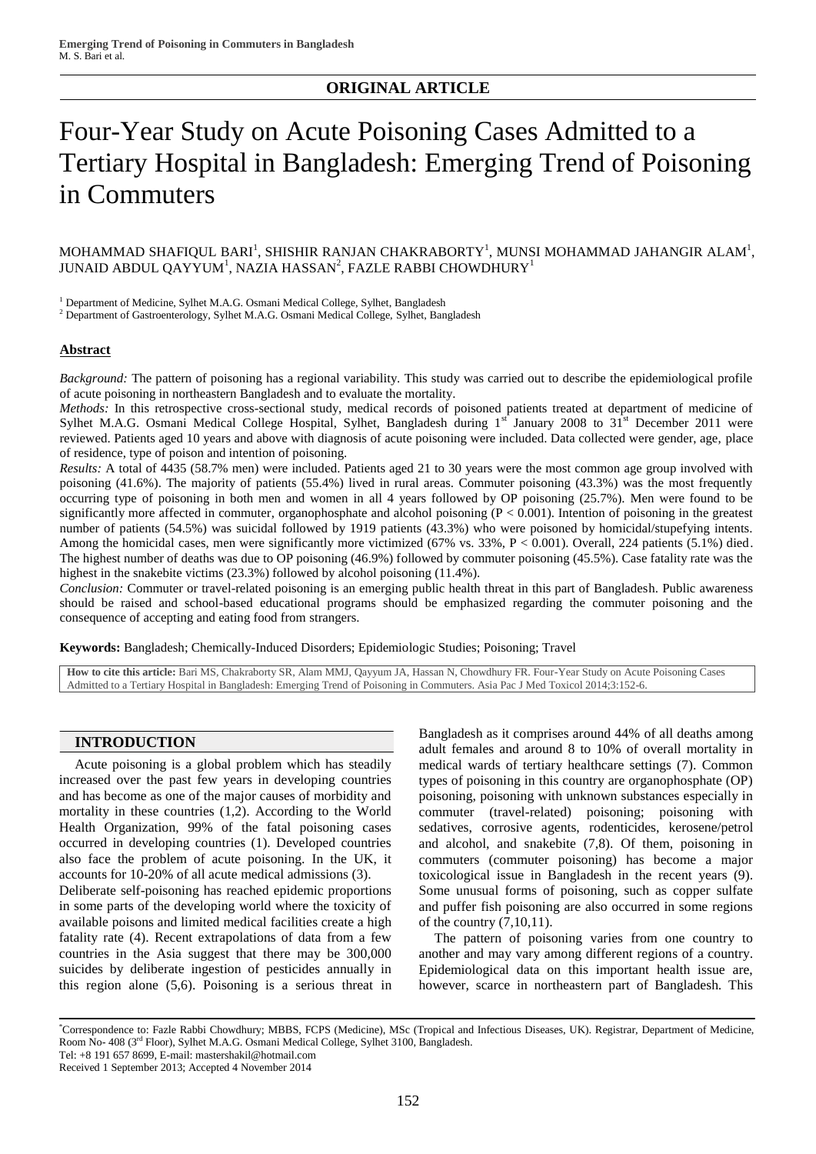# **ORIGINAL ARTICLE**

# Four-Year Study on Acute Poisoning Cases Admitted to a Tertiary Hospital in Bangladesh: Emerging Trend of Poisoning in Commuters

MOHAMMAD SHAFIQUL BARI $^{\rm l}$ , SHISHIR RANJAN CHAKRABORTY $^{\rm l}$ , MUNSI MOHAMMAD JAHANGIR ALAM $^{\rm l}$ , JUNAID ABDUL QAYYUM $^{\rm l}$ , NAZIA HASSAN $^{\rm 2}$ , FAZLE RABBI CHOWDHURY $^{\rm l}$ 

<sup>1</sup> Department of Medicine, Sylhet M.A.G. Osmani Medical College, Sylhet, Bangladesh

<sup>2</sup> Department of Gastroenterology, Sylhet M.A.G. Osmani Medical College, Sylhet, Bangladesh

## **Abstract**

*Background:* The pattern of poisoning has a regional variability. This study was carried out to describe the epidemiological profile of acute poisoning in northeastern Bangladesh and to evaluate the mortality.

*Methods:* In this retrospective cross-sectional study, medical records of poisoned patients treated at department of medicine of Sylhet M.A.G. Osmani Medical College Hospital, Sylhet, Bangladesh during  $1<sup>st</sup>$  January 2008 to  $31<sup>st</sup>$  December 2011 were reviewed. Patients aged 10 years and above with diagnosis of acute poisoning were included. Data collected were gender, age, place of residence, type of poison and intention of poisoning.

*Results:* A total of 4435 (58.7% men) were included. Patients aged 21 to 30 years were the most common age group involved with poisoning (41.6%). The majority of patients (55.4%) lived in rural areas. Commuter poisoning (43.3%) was the most frequently occurring type of poisoning in both men and women in all 4 years followed by OP poisoning (25.7%). Men were found to be significantly more affected in commuter, organophosphate and alcohol poisoning (P < 0.001). Intention of poisoning in the greatest number of patients (54.5%) was suicidal followed by 1919 patients (43.3%) who were poisoned by homicidal/stupefying intents. Among the homicidal cases, men were significantly more victimized (67% vs. 33%, P < 0.001). Overall, 224 patients (5.1%) died. The highest number of deaths was due to OP poisoning (46.9%) followed by commuter poisoning (45.5%). Case fatality rate was the highest in the snakebite victims (23.3%) followed by alcohol poisoning (11.4%).

*Conclusion:* Commuter or travel-related poisoning is an emerging public health threat in this part of Bangladesh. Public awareness should be raised and school-based educational programs should be emphasized regarding the commuter poisoning and the consequence of accepting and eating food from strangers.

**Keywords:** Bangladesh; Chemically-Induced Disorders; Epidemiologic Studies; Poisoning; Travel

**How to cite this article:** Bari MS, Chakraborty SR, Alam MMJ, Qayyum JA, Hassan N, Chowdhury FR. Four-Year Study on Acute Poisoning Cases Admitted to a Tertiary Hospital in Bangladesh: Emerging Trend of Poisoning in Commuters. Asia Pac J Med Toxicol 2014;3:152-6.

# **INTRODUCTION**

Acute poisoning is a global problem which has steadily increased over the past few years in developing countries and has become as one of the major causes of morbidity and mortality in these countries (1,2). According to the World Health Organization, 99% of the fatal poisoning cases occurred in developing countries (1). Developed countries also face the problem of acute poisoning. In the UK, it accounts for 10-20% of all acute medical admissions (3).

Deliberate self-poisoning has reached epidemic proportions in some parts of the developing world where the toxicity of available poisons and limited medical facilities create a high fatality rate (4). Recent extrapolations of data from a few countries in the Asia suggest that there may be 300,000 suicides by deliberate ingestion of pesticides annually in this region alone (5,6). Poisoning is a serious threat in Bangladesh as it comprises around 44% of all deaths among adult females and around 8 to 10% of overall mortality in medical wards of tertiary healthcare settings (7). Common types of poisoning in this country are organophosphate (OP) poisoning, poisoning with unknown substances especially in commuter (travel-related) poisoning; poisoning with sedatives, corrosive agents, rodenticides, kerosene/petrol and alcohol, and snakebite (7,8). Of them, poisoning in commuters (commuter poisoning) has become a major toxicological issue in Bangladesh in the recent years (9). Some unusual forms of poisoning, such as copper sulfate and puffer fish poisoning are also occurred in some regions of the country (7,10,11).

The pattern of poisoning varies from one country to another and may vary among different regions of a country. Epidemiological data on this important health issue are, however, scarce in northeastern part of Bangladesh. This

\*Correspondence to: Fazle Rabbi Chowdhury; MBBS, FCPS (Medicine), MSc (Tropical and Infectious Diseases, UK). Registrar, Department of Medicine, Room No- 408 (3rd Floor), Sylhet M.A.G. Osmani Medical College, Sylhet 3100, Bangladesh. Tel: +8 191 657 8699, E-mail: mastershakil@hotmail.com

Received 1 September 2013; Accepted 4 November 2014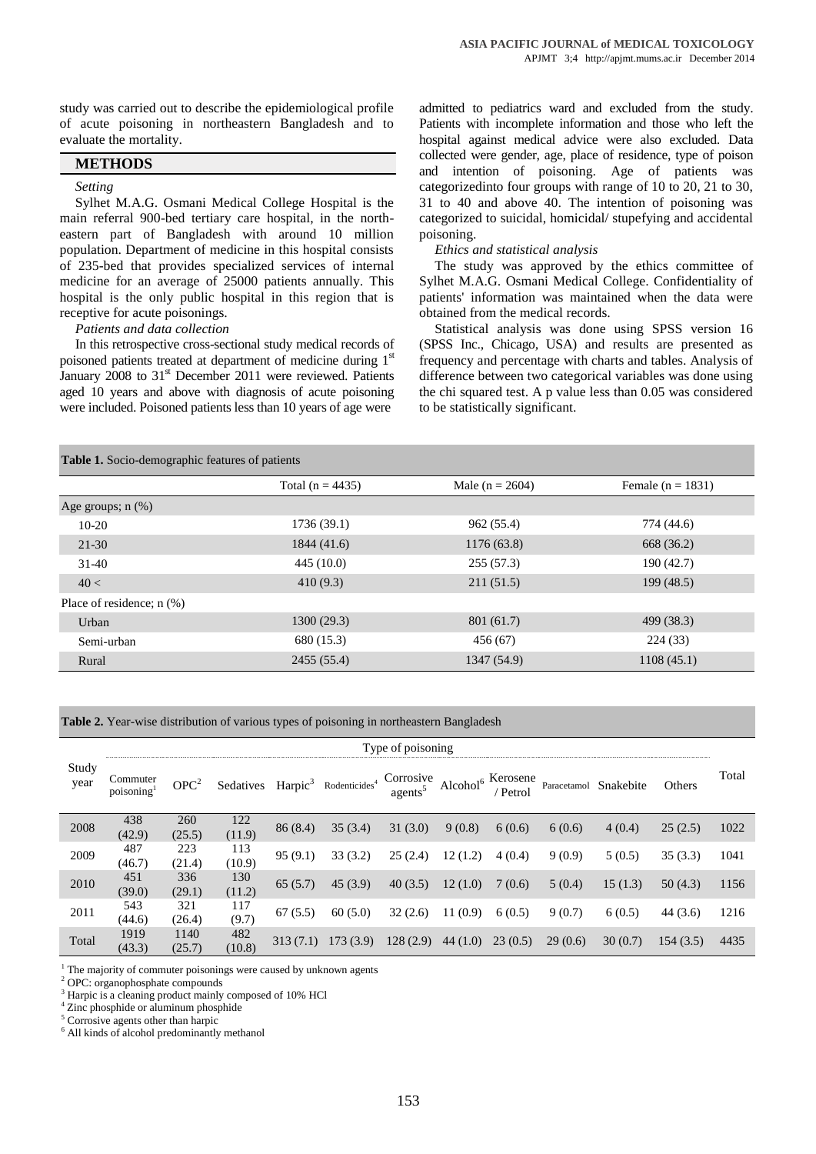study was carried out to describe the epidemiological profile of acute poisoning in northeastern Bangladesh and to evaluate the mortality.

## **METHODS**

# *Setting*

Sylhet M.A.G. Osmani Medical College Hospital is the main referral 900-bed tertiary care hospital, in the northeastern part of Bangladesh with around 10 million population. Department of medicine in this hospital consists of 235-bed that provides specialized services of internal medicine for an average of 25000 patients annually. This hospital is the only public hospital in this region that is receptive for acute poisonings.

*Patients and data collection*

In this retrospective cross-sectional study medical records of poisoned patients treated at department of medicine during 1<sup>st</sup> January 2008 to 31<sup>st</sup> December 2011 were reviewed. Patients aged 10 years and above with diagnosis of acute poisoning were included. Poisoned patients less than 10 years of age were

admitted to pediatrics ward and excluded from the study. Patients with incomplete information and those who left the hospital against medical advice were also excluded. Data collected were gender, age, place of residence, type of poison and intention of poisoning. Age of patients was categorizedinto four groups with range of 10 to 20, 21 to 30, 31 to 40 and above 40. The intention of poisoning was categorized to suicidal, homicidal/ stupefying and accidental poisoning.

# *Ethics and statistical analysis*

The study was approved by the ethics committee of Sylhet M.A.G. Osmani Medical College. Confidentiality of patients' information was maintained when the data were obtained from the medical records.

Statistical analysis was done using SPSS version 16 (SPSS Inc., Chicago, USA) and results are presented as frequency and percentage with charts and tables. Analysis of difference between two categorical variables was done using the chi squared test. A p value less than 0.05 was considered to be statistically significant.

| <b>Table 1.</b> Socio-demographic features of patients |                      |                     |                     |  |  |  |  |
|--------------------------------------------------------|----------------------|---------------------|---------------------|--|--|--|--|
|                                                        | Total ( $n = 4435$ ) | Male ( $n = 2604$ ) | Female $(n = 1831)$ |  |  |  |  |
| Age groups; $n$ $(\%)$                                 |                      |                     |                     |  |  |  |  |
| $10-20$                                                | 1736(39.1)           | 962(55.4)           | 774 (44.6)          |  |  |  |  |
| $21 - 30$                                              | 1844 (41.6)          | 1176 (63.8)         | 668 (36.2)          |  |  |  |  |
| $31-40$                                                | 445(10.0)            | 255(57.3)           | 190(42.7)           |  |  |  |  |
| 40 <                                                   | 410(9.3)             | 211(51.5)           | 199(48.5)           |  |  |  |  |
| Place of residence; $n$ $(\%)$                         |                      |                     |                     |  |  |  |  |
| Urban                                                  | 1300(29.3)           | 801 (61.7)          | 499 (38.3)          |  |  |  |  |
| Semi-urban                                             | 680 (15.3)           | 456(67)             | 224(33)             |  |  |  |  |
| Rural                                                  | 2455 (55.4)          | 1347 (54.9)         | 1108(45.1)          |  |  |  |  |

**Table 2.** Year-wise distribution of various types of poisoning in northeastern Bangladesh

|               | Type of poisoning     |                  |                               |          |                                      |                                                                                              |         |         |         |                       |          |       |
|---------------|-----------------------|------------------|-------------------------------|----------|--------------------------------------|----------------------------------------------------------------------------------------------|---------|---------|---------|-----------------------|----------|-------|
| Study<br>year | Commuter<br>poisoning | OPC <sup>2</sup> | Sedatives Harpic <sup>3</sup> |          | $Ro{\text{d}$ enticides <sup>4</sup> | Corrosive Alcohol <sup>6</sup> Kerosene<br>agents <sup>5</sup> Alcohol <sup>6</sup> / Petrol |         |         |         | Paracetamol Snakebite | Others   | Total |
| 2008          | 438<br>(42.9)         | 260<br>(25.5)    | 122<br>(11.9)                 | 86 (8.4) | 35(3.4)                              | 31(3.0)                                                                                      | 9(0.8)  | 6(0.6)  | 6(0.6)  | 4(0.4)                | 25(2.5)  | 1022  |
| 2009          | 487<br>(46.7)         | 223<br>(21.4)    | 113<br>(10.9)                 | 95(9.1)  | 33(3.2)                              | 25(2.4)                                                                                      | 12(1.2) | 4(0.4)  | 9(0.9)  | 5(0.5)                | 35(3.3)  | 1041  |
| 2010          | 451<br>(39.0)         | 336<br>(29.1)    | 130<br>(11.2)                 | 65(5.7)  | 45(3.9)                              | 40(3.5)                                                                                      | 12(1.0) | 7(0.6)  | 5(0.4)  | 15(1.3)               | 50(4.3)  | 1156  |
| 2011          | 543<br>(44.6)         | 321<br>(26.4)    | 117<br>(9.7)                  | 67(5.5)  | 60(5.0)                              | 32(2.6)                                                                                      | 11(0.9) | 6(0.5)  | 9(0.7)  | 6(0.5)                | 44(3.6)  | 1216  |
| Total         | 1919<br>(43.3)        | 1140<br>(25.7)   | 482<br>(10.8)                 | 313(7.1) | 173(3.9)                             | 128(2.9)                                                                                     | 44(1.0) | 23(0.5) | 29(0.6) | 30(0.7)               | 154(3.5) | 4435  |

<sup>1</sup> The majority of commuter poisonings were caused by unknown agents

<sup>3</sup> Harpic is a cleaning product mainly composed of 10% HCl

<sup>4</sup> Zinc phosphide or aluminum phosphide

<sup>5</sup> Corrosive agents other than harpic

<sup>6</sup> All kinds of alcohol predominantly methanol

<sup>2</sup> OPC: organophosphate compounds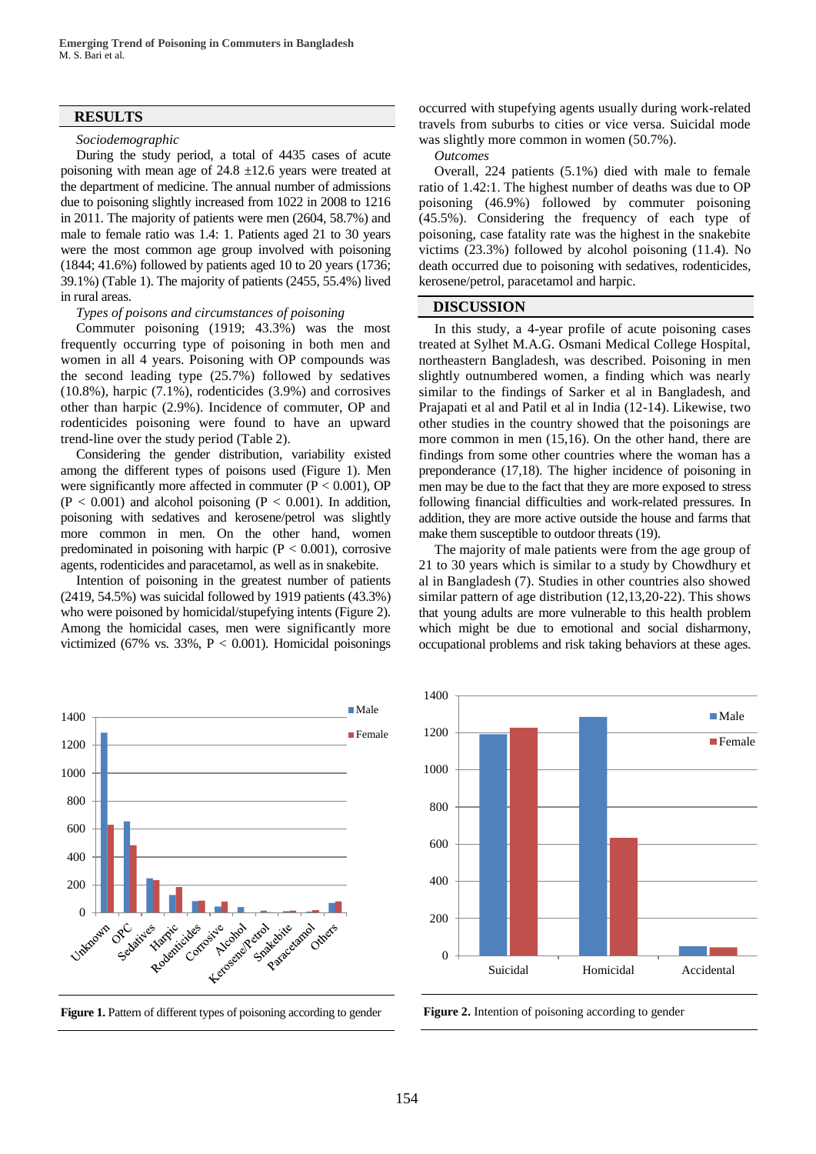## **RESULTS**

#### *Sociodemographic*

During the study period, a total of 4435 cases of acute poisoning with mean age of  $24.8 \pm 12.6$  years were treated at the department of medicine. The annual number of admissions due to poisoning slightly increased from 1022 in 2008 to 1216 in 2011. The majority of patients were men (2604, 58.7%) and male to female ratio was 1.4: 1. Patients aged 21 to 30 years were the most common age group involved with poisoning (1844; 41.6%) followed by patients aged 10 to 20 years (1736; 39.1%) (Table 1). The majority of patients (2455, 55.4%) lived in rural areas.

#### *Types of poisons and circumstances of poisoning*

Commuter poisoning (1919; 43.3%) was the most frequently occurring type of poisoning in both men and women in all 4 years. Poisoning with OP compounds was the second leading type (25.7%) followed by sedatives (10.8%), harpic (7.1%), rodenticides (3.9%) and corrosives other than harpic (2.9%). Incidence of commuter, OP and rodenticides poisoning were found to have an upward trend-line over the study period (Table 2).

Considering the gender distribution, variability existed among the different types of poisons used (Figure 1). Men were significantly more affected in commuter  $(P < 0.001)$ , OP  $(P < 0.001)$  and alcohol poisoning  $(P < 0.001)$ . In addition, poisoning with sedatives and kerosene/petrol was slightly more common in men. On the other hand, women predominated in poisoning with harpic  $(P < 0.001)$ , corrosive agents, rodenticides and paracetamol, as well as in snakebite.

Intention of poisoning in the greatest number of patients (2419, 54.5%) was suicidal followed by 1919 patients (43.3%) who were poisoned by homicidal/stupefying intents (Figure 2). Among the homicidal cases, men were significantly more victimized (67% vs. 33%,  $P < 0.001$ ). Homicidal poisonings occurred with stupefying agents usually during work-related travels from suburbs to cities or vice versa. Suicidal mode was slightly more common in women (50.7%).

*Outcomes*

Overall, 224 patients (5.1%) died with male to female ratio of 1.42:1. The highest number of deaths was due to OP poisoning (46.9%) followed by commuter poisoning (45.5%). Considering the frequency of each type of poisoning, case fatality rate was the highest in the snakebite victims (23.3%) followed by alcohol poisoning (11.4). No death occurred due to poisoning with sedatives, rodenticides, kerosene/petrol, paracetamol and harpic.

### **DISCUSSION**

In this study, a 4-year profile of acute poisoning cases treated at Sylhet M.A.G. Osmani Medical College Hospital, northeastern Bangladesh, was described. Poisoning in men slightly outnumbered women, a finding which was nearly similar to the findings of Sarker et al in Bangladesh, and Prajapati et al and Patil et al in India (12-14). Likewise, two other studies in the country showed that the poisonings are more common in men (15,16). On the other hand, there are findings from some other countries where the woman has a preponderance (17,18). The higher incidence of poisoning in men may be due to the fact that they are more exposed to stress following financial difficulties and work-related pressures. In addition, they are more active outside the house and farms that make them susceptible to outdoor threats (19).

The majority of male patients were from the age group of 21 to 30 years which is similar to a study by Chowdhury et al in Bangladesh (7). Studies in other countries also showed similar pattern of age distribution (12,13,20-22). This shows that young adults are more vulnerable to this health problem which might be due to emotional and social disharmony, occupational problems and risk taking behaviors at these ages.







Figure 2. Intention of poisoning according to gender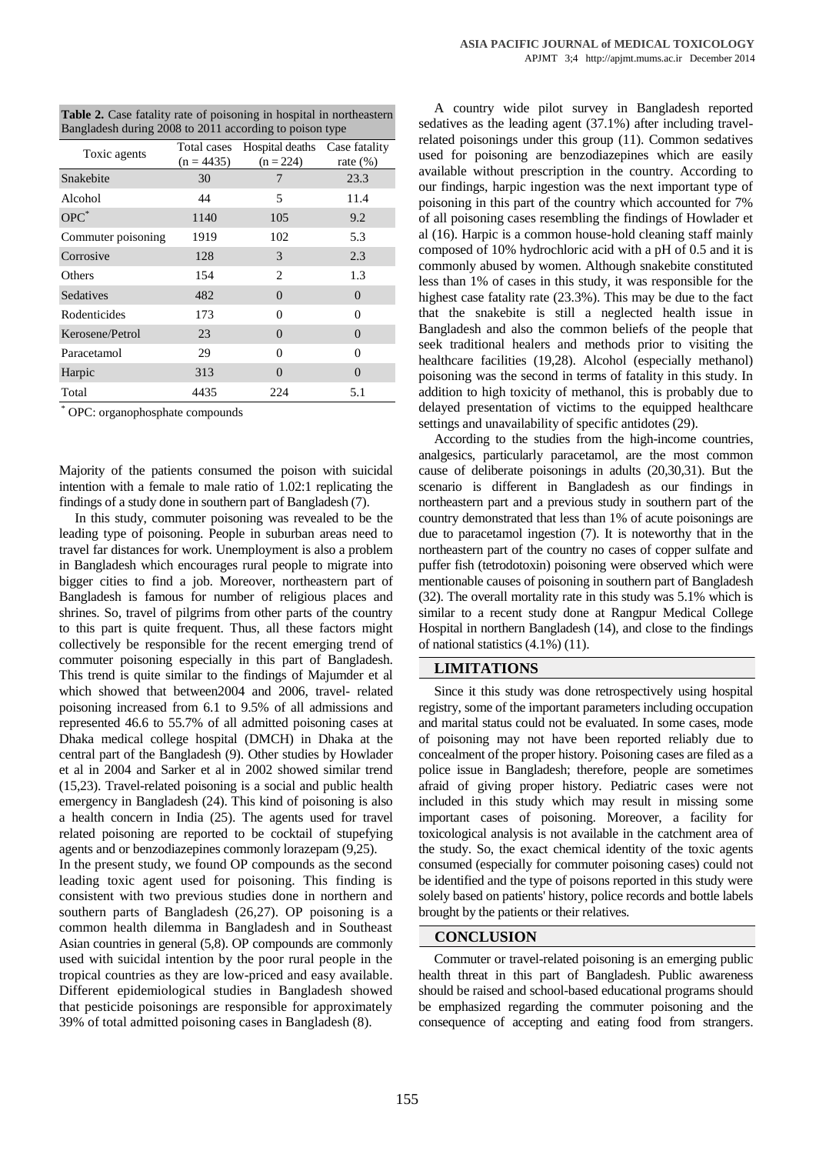| <b>Table 2.</b> Case fatality rate of poisoning in hospital in northeastern |
|-----------------------------------------------------------------------------|
| Bangladesh during 2008 to 2011 according to poison type                     |

|              |                | - 1                          |
|--------------|----------------|------------------------------|
| $(n = 4435)$ | $(n = 224)$    | Case fatality<br>rate $(\%)$ |
| 30           | 7              | 23.3                         |
| 44           | 5              | 11.4                         |
| 1140         | 105            | 9.2                          |
| 1919         | 102            | 5.3                          |
| 128          | 3              | 2.3                          |
| 154          | 2              | 1.3                          |
| 482          | $\overline{0}$ | 0                            |
| 173          | $\Omega$       | $\theta$                     |
| 23           | $\Omega$       | 0                            |
| 29           | $\Omega$       | $\theta$                     |
| 313          | $\Omega$       | $\overline{0}$               |
| 4435         | 224            | 5.1                          |
|              |                | Total cases Hospital deaths  |

\* OPC: organophosphate compounds

Majority of the patients consumed the poison with suicidal intention with a female to male ratio of 1.02:1 replicating the findings of a study done in southern part of Bangladesh (7).

In this study, commuter poisoning was revealed to be the leading type of poisoning. People in suburban areas need to travel far distances for work. Unemployment is also a problem in Bangladesh which encourages rural people to migrate into bigger cities to find a job. Moreover, northeastern part of Bangladesh is famous for number of religious places and shrines. So, travel of pilgrims from other parts of the country to this part is quite frequent. Thus, all these factors might collectively be responsible for the recent emerging trend of commuter poisoning especially in this part of Bangladesh. This trend is quite similar to the findings of Majumder et al which showed that between2004 and 2006, travel- related poisoning increased from 6.1 to 9.5% of all admissions and represented 46.6 to 55.7% of all admitted poisoning cases at Dhaka medical college hospital (DMCH) in Dhaka at the central part of the Bangladesh (9). Other studies by Howlader et al in 2004 and Sarker et al in 2002 showed similar trend (15,23). Travel-related poisoning is a social and public health emergency in Bangladesh (24). This kind of poisoning is also a health concern in India (25). The agents used for travel related poisoning are reported to be cocktail of stupefying agents and or benzodiazepines commonly lorazepam (9,25). In the present study, we found OP compounds as the second leading toxic agent used for poisoning. This finding is

consistent with two previous studies done in northern and southern parts of Bangladesh (26,27). OP poisoning is a common health dilemma in Bangladesh and in Southeast Asian countries in general (5,8). OP compounds are commonly used with suicidal intention by the poor rural people in the tropical countries as they are low-priced and easy available. Different epidemiological studies in Bangladesh showed that pesticide poisonings are responsible for approximately 39% of total admitted poisoning cases in Bangladesh (8).

A country wide pilot survey in Bangladesh reported sedatives as the leading agent (37.1%) after including travelrelated poisonings under this group (11). Common sedatives used for poisoning are benzodiazepines which are easily available without prescription in the country. According to our findings, harpic ingestion was the next important type of poisoning in this part of the country which accounted for 7% of all poisoning cases resembling the findings of Howlader et al (16). Harpic is a common house-hold cleaning staff mainly composed of 10% hydrochloric acid with a pH of 0.5 and it is commonly abused by women. Although snakebite constituted less than 1% of cases in this study, it was responsible for the highest case fatality rate (23.3%). This may be due to the fact that the snakebite is still a neglected health issue in Bangladesh and also the common beliefs of the people that seek traditional healers and methods prior to visiting the healthcare facilities (19,28). Alcohol (especially methanol) poisoning was the second in terms of fatality in this study. In addition to high toxicity of methanol, this is probably due to delayed presentation of victims to the equipped healthcare settings and unavailability of specific antidotes (29).

According to the studies from the high-income countries, analgesics, particularly paracetamol, are the most common cause of deliberate poisonings in adults (20,30,31). But the scenario is different in Bangladesh as our findings in northeastern part and a previous study in southern part of the country demonstrated that less than 1% of acute poisonings are due to paracetamol ingestion (7). It is noteworthy that in the northeastern part of the country no cases of copper sulfate and puffer fish (tetrodotoxin) poisoning were observed which were mentionable causes of poisoning in southern part of Bangladesh (32). The overall mortality rate in this study was 5.1% which is similar to a recent study done at Rangpur Medical College Hospital in northern Bangladesh (14), and close to the findings of national statistics (4.1%) (11).

## **LIMITATIONS**

Since it this study was done retrospectively using hospital registry, some of the important parameters including occupation and marital status could not be evaluated. In some cases, mode of poisoning may not have been reported reliably due to concealment of the proper history. Poisoning cases are filed as a police issue in Bangladesh; therefore, people are sometimes afraid of giving proper history. Pediatric cases were not included in this study which may result in missing some important cases of poisoning. Moreover, a facility for toxicological analysis is not available in the catchment area of the study. So, the exact chemical identity of the toxic agents consumed (especially for commuter poisoning cases) could not be identified and the type of poisons reported in this study were solely based on patients' history, police records and bottle labels brought by the patients or their relatives.

# **CONCLUSION**

Commuter or travel-related poisoning is an emerging public health threat in this part of Bangladesh. Public awareness should be raised and school-based educational programs should be emphasized regarding the commuter poisoning and the consequence of accepting and eating food from strangers.